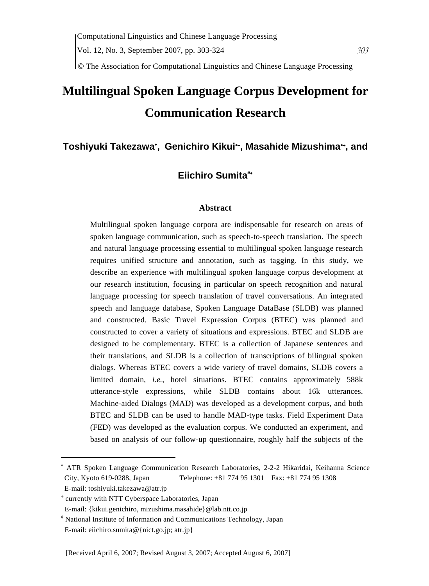© The Association for Computational Linguistics and Chinese Language Processing

# **Multilingual Spoken Language Corpus Development for Communication Research**

# **Toshiyuki Takezawa**<sup>∗</sup> **, Genichiro Kikui**∗+**, Masahide Mizushima**∗+**, and**

# **Eiichiro Sumita**#∗

### **Abstract**

Multilingual spoken language corpora are indispensable for research on areas of spoken language communication, such as speech-to-speech translation. The speech and natural language processing essential to multilingual spoken language research requires unified structure and annotation, such as tagging. In this study, we describe an experience with multilingual spoken language corpus development at our research institution, focusing in particular on speech recognition and natural language processing for speech translation of travel conversations. An integrated speech and language database, Spoken Language DataBase (SLDB) was planned and constructed. Basic Travel Expression Corpus (BTEC) was planned and constructed to cover a variety of situations and expressions. BTEC and SLDB are designed to be complementary. BTEC is a collection of Japanese sentences and their translations, and SLDB is a collection of transcriptions of bilingual spoken dialogs. Whereas BTEC covers a wide variety of travel domains, SLDB covers a limited domain, *i.e.*, hotel situations. BTEC contains approximately 588k utterance-style expressions, while SLDB contains about 16k utterances. Machine-aided Dialogs (MAD) was developed as a development corpus, and both BTEC and SLDB can be used to handle MAD-type tasks. Field Experiment Data (FED) was developed as the evaluation corpus. We conducted an experiment, and based on analysis of our follow-up questionnaire, roughly half the subjects of the

 $\overline{a}$ 

<sup>∗</sup> ATR Spoken Language Communication Research Laboratories, 2-2-2 Hikaridai, Keihanna Science City, Kyoto 619-0288, Japan Telephone: +81 774 95 1301 Fax: +81 774 95 1308

E-mail: toshiyuki.takezawa@atr.jp

<sup>+</sup> currently with NTT Cyberspace Laboratories, Japan

E-mail: {kikui.genichiro, mizushima.masahide}@lab.ntt.co.jp

<sup>#</sup> National Institute of Information and Communications Technology, Japan E-mail: eiichiro.sumita@{nict.go.jp; atr.jp}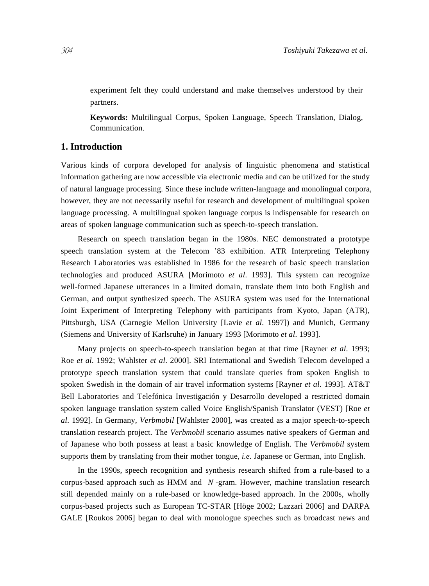experiment felt they could understand and make themselves understood by their partners.

**Keywords:** Multilingual Corpus, Spoken Language, Speech Translation, Dialog, Communication.

#### **1. Introduction**

Various kinds of corpora developed for analysis of linguistic phenomena and statistical information gathering are now accessible via electronic media and can be utilized for the study of natural language processing. Since these include written-language and monolingual corpora, however, they are not necessarily useful for research and development of multilingual spoken language processing. A multilingual spoken language corpus is indispensable for research on areas of spoken language communication such as speech-to-speech translation.

Research on speech translation began in the 1980s. NEC demonstrated a prototype speech translation system at the Telecom '83 exhibition. ATR Interpreting Telephony Research Laboratories was established in 1986 for the research of basic speech translation technologies and produced ASURA [Morimoto *et al*. 1993]. This system can recognize well-formed Japanese utterances in a limited domain, translate them into both English and German, and output synthesized speech. The ASURA system was used for the International Joint Experiment of Interpreting Telephony with participants from Kyoto, Japan (ATR), Pittsburgh, USA (Carnegie Mellon University [Lavie *et al*. 1997]) and Munich, Germany (Siemens and University of Karlsruhe) in January 1993 [Morimoto *et al*. 1993].

Many projects on speech-to-speech translation began at that time [Rayner *et al*. 1993; Roe *et al*. 1992; Wahlster *et al*. 2000]. SRI International and Swedish Telecom developed a prototype speech translation system that could translate queries from spoken English to spoken Swedish in the domain of air travel information systems [Rayner *et al*. 1993]. AT&T Bell Laboratories and Telefónica Investigación y Desarrollo developed a restricted domain spoken language translation system called Voice English/Spanish Translator (VEST) [Roe *et al*. 1992]. In Germany, *Verbmobil* [Wahlster 2000], was created as a major speech-to-speech translation research project. The *Verbmobil* scenario assumes native speakers of German and of Japanese who both possess at least a basic knowledge of English. The *Verbmobil* system supports them by translating from their mother tongue, *i.e.* Japanese or German, into English.

In the 1990s, speech recognition and synthesis research shifted from a rule-based to a corpus-based approach such as HMM and *N* -gram. However, machine translation research still depended mainly on a rule-based or knowledge-based approach. In the 2000s, wholly corpus-based projects such as European TC-STAR [Höge 2002; Lazzari 2006] and DARPA GALE [Roukos 2006] began to deal with monologue speeches such as broadcast news and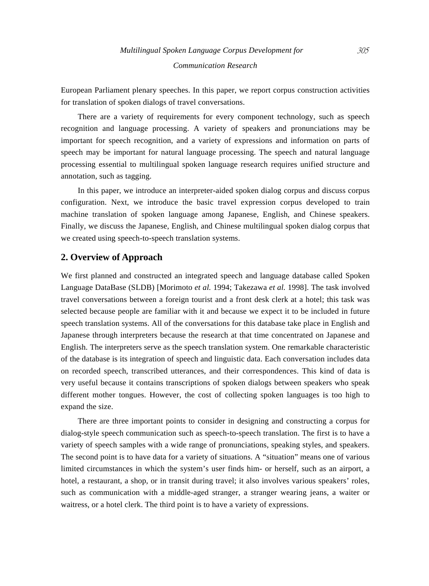European Parliament plenary speeches. In this paper, we report corpus construction activities for translation of spoken dialogs of travel conversations.

There are a variety of requirements for every component technology, such as speech recognition and language processing. A variety of speakers and pronunciations may be important for speech recognition, and a variety of expressions and information on parts of speech may be important for natural language processing. The speech and natural language processing essential to multilingual spoken language research requires unified structure and annotation, such as tagging.

In this paper, we introduce an interpreter-aided spoken dialog corpus and discuss corpus configuration. Next, we introduce the basic travel expression corpus developed to train machine translation of spoken language among Japanese, English, and Chinese speakers. Finally, we discuss the Japanese, English, and Chinese multilingual spoken dialog corpus that we created using speech-to-speech translation systems.

### **2. Overview of Approach**

We first planned and constructed an integrated speech and language database called Spoken Language DataBase (SLDB) [Morimoto *et al.* 1994; Takezawa *et al.* 1998]. The task involved travel conversations between a foreign tourist and a front desk clerk at a hotel; this task was selected because people are familiar with it and because we expect it to be included in future speech translation systems. All of the conversations for this database take place in English and Japanese through interpreters because the research at that time concentrated on Japanese and English. The interpreters serve as the speech translation system. One remarkable characteristic of the database is its integration of speech and linguistic data. Each conversation includes data on recorded speech, transcribed utterances, and their correspondences. This kind of data is very useful because it contains transcriptions of spoken dialogs between speakers who speak different mother tongues. However, the cost of collecting spoken languages is too high to expand the size.

There are three important points to consider in designing and constructing a corpus for dialog-style speech communication such as speech-to-speech translation. The first is to have a variety of speech samples with a wide range of pronunciations, speaking styles, and speakers. The second point is to have data for a variety of situations. A "situation" means one of various limited circumstances in which the system's user finds him- or herself, such as an airport, a hotel, a restaurant, a shop, or in transit during travel; it also involves various speakers' roles, such as communication with a middle-aged stranger, a stranger wearing jeans, a waiter or waitress, or a hotel clerk. The third point is to have a variety of expressions.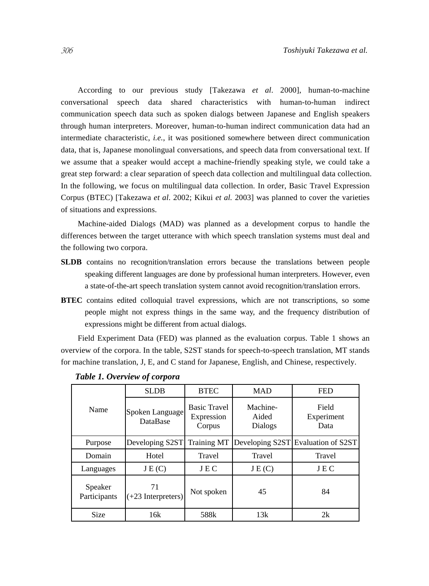According to our previous study [Takezawa *et al*. 2000], human-to-machine conversational speech data shared characteristics with human-to-human indirect communication speech data such as spoken dialogs between Japanese and English speakers through human interpreters. Moreover, human-to-human indirect communication data had an intermediate characteristic, *i.e.*, it was positioned somewhere between direct communication data, that is, Japanese monolingual conversations, and speech data from conversational text. If we assume that a speaker would accept a machine-friendly speaking style, we could take a great step forward: a clear separation of speech data collection and multilingual data collection. In the following, we focus on multilingual data collection. In order, Basic Travel Expression Corpus (BTEC) [Takezawa *et al*. 2002; Kikui *et al.* 2003] was planned to cover the varieties of situations and expressions.

Machine-aided Dialogs (MAD) was planned as a development corpus to handle the differences between the target utterance with which speech translation systems must deal and the following two corpora.

- **SLDB** contains no recognition/translation errors because the translations between people speaking different languages are done by professional human interpreters. However, even a state-of-the-art speech translation system cannot avoid recognition/translation errors.
- **BTEC** contains edited colloquial travel expressions, which are not transcriptions, so some people might not express things in the same way, and the frequency distribution of expressions might be different from actual dialogs.

Field Experiment Data (FED) was planned as the evaluation corpus. Table 1 shows an overview of the corpora. In the table, S2ST stands for speech-to-speech translation, MT stands for machine translation, J, E, and C stand for Japanese, English, and Chinese, respectively.

|                         | <b>SLDB</b>                        | <b>BTEC</b>                                 | <b>MAD</b>                   | <b>FED</b>                  |
|-------------------------|------------------------------------|---------------------------------------------|------------------------------|-----------------------------|
| Name                    | Spoken Language<br><b>DataBase</b> | <b>Basic Travel</b><br>Expression<br>Corpus | Machine-<br>Aided<br>Dialogs | Field<br>Experiment<br>Data |
| Purpose                 | Developing S2ST                    | <b>Training MT</b>                          | Developing S2ST              | Evaluation of S2ST          |
| Domain                  | Hotel                              | Travel                                      | Travel                       | Travel                      |
| Languages               | J E(C)                             | JEC                                         | J E(C)                       | JEC                         |
| Speaker<br>Participants | 71<br>$(+23$ Interpreters)         | Not spoken                                  | 45                           | 84                          |
| <b>Size</b>             | 16k                                | 588k                                        | 13k                          | 2k                          |

*Table 1. Overview of corpora*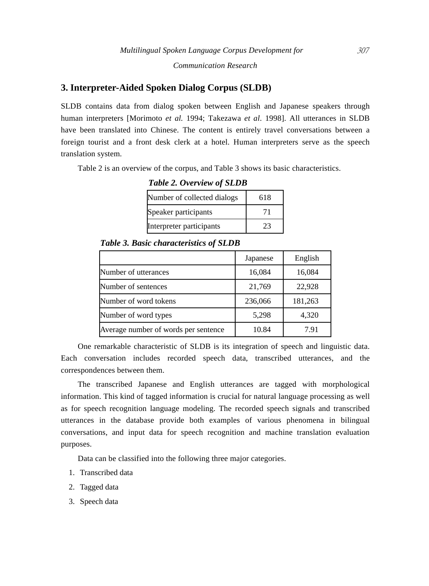### **3. Interpreter-Aided Spoken Dialog Corpus (SLDB)**

SLDB contains data from dialog spoken between English and Japanese speakers through human interpreters [Morimoto *et al.* 1994; Takezawa *et al*. 1998]. All utterances in SLDB have been translated into Chinese. The content is entirely travel conversations between a foreign tourist and a front desk clerk at a hotel. Human interpreters serve as the speech translation system.

Table 2 is an overview of the corpus, and Table 3 shows its basic characteristics.

*Table 2. Overview of SLDB*

| Number of collected dialogs | 618 |
|-----------------------------|-----|
| Speaker participants        | 71  |
| Interpreter participants    | 23  |

*Table 3. Basic characteristics of SLDB*

|                                      | Japanese | English |
|--------------------------------------|----------|---------|
| Number of utterances                 | 16,084   | 16,084  |
| Number of sentences                  | 21,769   | 22,928  |
| Number of word tokens                | 236,066  | 181,263 |
| Number of word types                 | 5,298    | 4,320   |
| Average number of words per sentence | 10.84    | 7.91    |

One remarkable characteristic of SLDB is its integration of speech and linguistic data. Each conversation includes recorded speech data, transcribed utterances, and the correspondences between them.

The transcribed Japanese and English utterances are tagged with morphological information. This kind of tagged information is crucial for natural language processing as well as for speech recognition language modeling. The recorded speech signals and transcribed utterances in the database provide both examples of various phenomena in bilingual conversations, and input data for speech recognition and machine translation evaluation purposes.

Data can be classified into the following three major categories.

- 1. Transcribed data
- 2. Tagged data
- 3. Speech data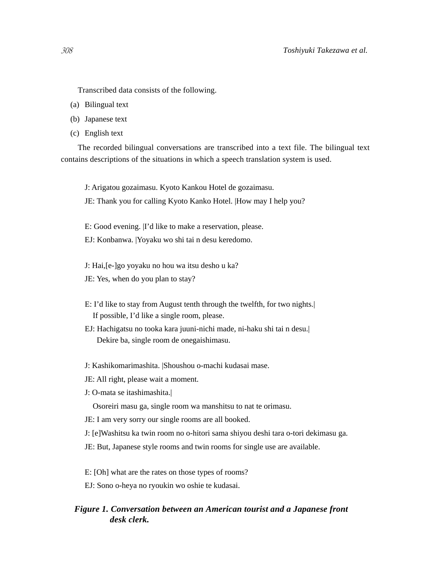- (a) Bilingual text
- (b) Japanese text
- (c) English text

The recorded bilingual conversations are transcribed into a text file. The bilingual text contains descriptions of the situations in which a speech translation system is used.

J: Arigatou gozaimasu. Kyoto Kankou Hotel de gozaimasu.

JE: Thank you for calling Kyoto Kanko Hotel. |How may I help you?

E: Good evening. |I'd like to make a reservation, please.

- EJ: Konbanwa. |Yoyaku wo shi tai n desu keredomo.
- J: Hai,[e-]go yoyaku no hou wa itsu desho u ka?
- JE: Yes, when do you plan to stay?
- E: I'd like to stay from August tenth through the twelfth, for two nights.| If possible, I'd like a single room, please.
- EJ: Hachigatsu no tooka kara juuni-nichi made, ni-haku shi tai n desu.| Dekire ba, single room de onegaishimasu.
- J: Kashikomarimashita. |Shoushou o-machi kudasai mase.
- JE: All right, please wait a moment.
- J: O-mata se itashimashita.|

Osoreiri masu ga, single room wa manshitsu to nat te orimasu.

- JE: I am very sorry our single rooms are all booked.
- J: [e]Washitsu ka twin room no o-hitori sama shiyou deshi tara o-tori dekimasu ga.
- JE: But, Japanese style rooms and twin rooms for single use are available.
- E: [Oh] what are the rates on those types of rooms?
- EJ: Sono o-heya no ryoukin wo oshie te kudasai.

### *Figure 1. Conversation between an American tourist and a Japanese front desk clerk.*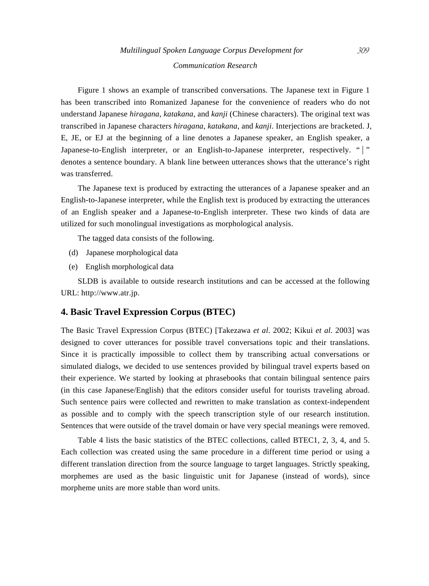Figure 1 shows an example of transcribed conversations. The Japanese text in Figure 1 has been transcribed into Romanized Japanese for the convenience of readers who do not understand Japanese *hiragana*, *katakana*, and *kanji* (Chinese characters). The original text was transcribed in Japanese characters *hiragana*, *katakana*, and *kanji*. Interjections are bracketed. J, E, JE, or EJ at the beginning of a line denotes a Japanese speaker, an English speaker, a Japanese-to-English interpreter, or an English-to-Japanese interpreter, respectively. " | " denotes a sentence boundary. A blank line between utterances shows that the utterance's right was transferred.

The Japanese text is produced by extracting the utterances of a Japanese speaker and an English-to-Japanese interpreter, while the English text is produced by extracting the utterances of an English speaker and a Japanese-to-English interpreter. These two kinds of data are utilized for such monolingual investigations as morphological analysis.

The tagged data consists of the following.

- (d) Japanese morphological data
- (e) English morphological data

SLDB is available to outside research institutions and can be accessed at the following URL: http://www.atr.jp.

### **4. Basic Travel Expression Corpus (BTEC)**

The Basic Travel Expression Corpus (BTEC) [Takezawa *et al*. 2002; Kikui *et al*. 2003] was designed to cover utterances for possible travel conversations topic and their translations. Since it is practically impossible to collect them by transcribing actual conversations or simulated dialogs, we decided to use sentences provided by bilingual travel experts based on their experience. We started by looking at phrasebooks that contain bilingual sentence pairs (in this case Japanese/English) that the editors consider useful for tourists traveling abroad. Such sentence pairs were collected and rewritten to make translation as context-independent as possible and to comply with the speech transcription style of our research institution. Sentences that were outside of the travel domain or have very special meanings were removed.

Table 4 lists the basic statistics of the BTEC collections, called BTEC1, 2, 3, 4, and 5. Each collection was created using the same procedure in a different time period or using a different translation direction from the source language to target languages. Strictly speaking, morphemes are used as the basic linguistic unit for Japanese (instead of words), since morpheme units are more stable than word units.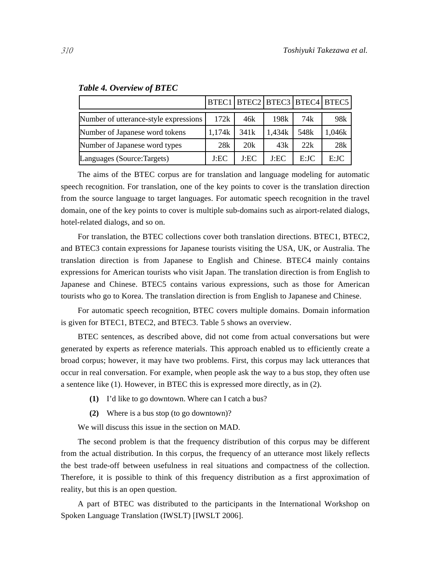|                                       |        |      |        | BTEC1 BTEC2 BTEC3 BTEC4 BTEC5 |        |
|---------------------------------------|--------|------|--------|-------------------------------|--------|
| Number of utterance-style expressions | 172k   | 46k  | 198k   | 74k                           | 98k    |
| Number of Japanese word tokens        | 1.174k | 341k | 1,434k | 548 <sub>k</sub>              | 1,046k |
| Number of Japanese word types         | 28k    | 20k  | 43k    | 22k                           | 28k    |
| Languages (Source:Targets)            | J:EC   | J:EC | J:EC   | E:JC                          | E:JC   |

#### *Table 4. Overview of BTEC*

The aims of the BTEC corpus are for translation and language modeling for automatic speech recognition. For translation, one of the key points to cover is the translation direction from the source language to target languages. For automatic speech recognition in the travel domain, one of the key points to cover is multiple sub-domains such as airport-related dialogs, hotel-related dialogs, and so on.

For translation, the BTEC collections cover both translation directions. BTEC1, BTEC2, and BTEC3 contain expressions for Japanese tourists visiting the USA, UK, or Australia. The translation direction is from Japanese to English and Chinese. BTEC4 mainly contains expressions for American tourists who visit Japan. The translation direction is from English to Japanese and Chinese. BTEC5 contains various expressions, such as those for American tourists who go to Korea. The translation direction is from English to Japanese and Chinese.

For automatic speech recognition, BTEC covers multiple domains. Domain information is given for BTEC1, BTEC2, and BTEC3. Table 5 shows an overview.

BTEC sentences, as described above, did not come from actual conversations but were generated by experts as reference materials. This approach enabled us to efficiently create a broad corpus; however, it may have two problems. First, this corpus may lack utterances that occur in real conversation. For example, when people ask the way to a bus stop, they often use a sentence like (1). However, in BTEC this is expressed more directly, as in (2).

- **(1)** I'd like to go downtown. Where can I catch a bus?
- **(2)** Where is a bus stop (to go downtown)?

We will discuss this issue in the section on MAD.

The second problem is that the frequency distribution of this corpus may be different from the actual distribution. In this corpus, the frequency of an utterance most likely reflects the best trade-off between usefulness in real situations and compactness of the collection. Therefore, it is possible to think of this frequency distribution as a first approximation of reality, but this is an open question.

A part of BTEC was distributed to the participants in the International Workshop on Spoken Language Translation (IWSLT) [IWSLT 2006].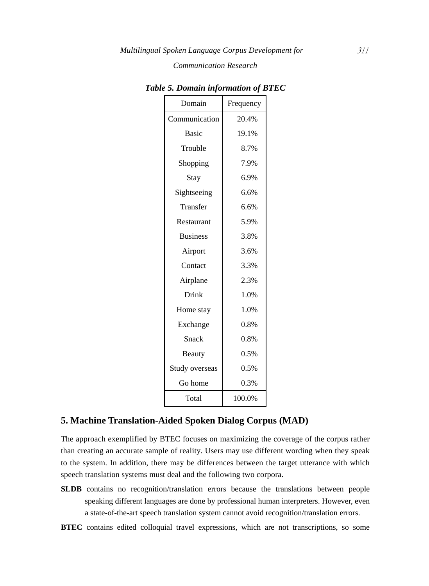| Domain          | Frequency |
|-----------------|-----------|
| Communication   | 20.4%     |
| <b>Basic</b>    | 19.1%     |
| Trouble         | 8.7%      |
| Shopping        | 7.9%      |
| Stay            | 6.9%      |
| Sightseeing     | 6.6%      |
| Transfer        | 6.6%      |
| Restaurant      | 5.9%      |
| <b>Business</b> | 3.8%      |
| Airport         | 3.6%      |
| Contact         | 3.3%      |
| Airplane        | 2.3%      |
| Drink           | 1.0%      |
| Home stay       | 1.0%      |
| Exchange        | 0.8%      |
| Snack           | 0.8%      |
| Beauty          | 0.5%      |
| Study overseas  | 0.5%      |
| Go home         | 0.3%      |
| Total           | 100.0%    |

*Table 5. Domain information of BTEC*

### **5. Machine Translation-Aided Spoken Dialog Corpus (MAD)**

The approach exemplified by BTEC focuses on maximizing the coverage of the corpus rather than creating an accurate sample of reality. Users may use different wording when they speak to the system. In addition, there may be differences between the target utterance with which speech translation systems must deal and the following two corpora.

- **SLDB** contains no recognition/translation errors because the translations between people speaking different languages are done by professional human interpreters. However, even a state-of-the-art speech translation system cannot avoid recognition/translation errors.
- **BTEC** contains edited colloquial travel expressions, which are not transcriptions, so some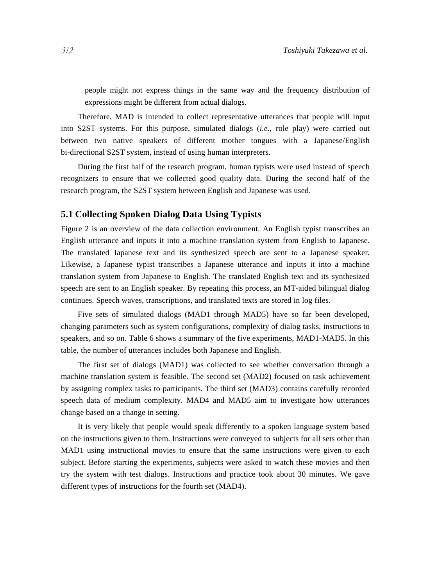people might not express things in the same way and the frequency distribution of expressions might be different from actual dialogs.

Therefore, MAD is intended to collect representative utterances that people will input into S2ST systems. For this purpose, simulated dialogs (*i.e.*, role play) were carried out between two native speakers of different mother tongues with a Japanese/English bi-directional S2ST system, instead of using human interpreters.

During the first half of the research program, human typists were used instead of speech recognizers to ensure that we collected good quality data. During the second half of the research program, the S2ST system between English and Japanese was used.

### **5.1 Collecting Spoken Dialog Data Using Typists**

Figure 2 is an overview of the data collection environment. An English typist transcribes an English utterance and inputs it into a machine translation system from English to Japanese. The translated Japanese text and its synthesized speech are sent to a Japanese speaker. Likewise, a Japanese typist transcribes a Japanese utterance and inputs it into a machine translation system from Japanese to English. The translated English text and its synthesized speech are sent to an English speaker. By repeating this process, an MT-aided bilingual dialog continues. Speech waves, transcriptions, and translated texts are stored in log files.

Five sets of simulated dialogs (MAD1 through MAD5) have so far been developed, changing parameters such as system configurations, complexity of dialog tasks, instructions to speakers, and so on. Table 6 shows a summary of the five experiments, MAD1-MAD5. In this table, the number of utterances includes both Japanese and English.

The first set of dialogs (MAD1) was collected to see whether conversation through a machine translation system is feasible. The second set (MAD2) focused on task achievement by assigning complex tasks to participants. The third set (MAD3) contains carefully recorded speech data of medium complexity. MAD4 and MAD5 aim to investigate how utterances change based on a change in setting.

It is very likely that people would speak differently to a spoken language system based on the instructions given to them. Instructions were conveyed to subjects for all sets other than MAD1 using instructional movies to ensure that the same instructions were given to each subject. Before starting the experiments, subjects were asked to watch these movies and then try the system with test dialogs. Instructions and practice took about 30 minutes. We gave different types of instructions for the fourth set (MAD4).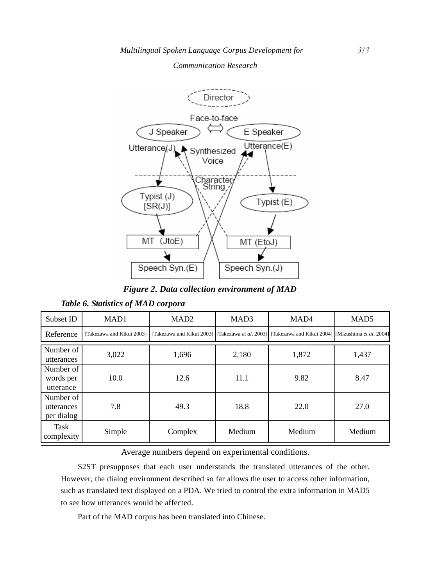

*Figure 2. Data collection environment of MAD*

|  |  | Table 6. Statistics of MAD corpora |  |  |  |
|--|--|------------------------------------|--|--|--|
|--|--|------------------------------------|--|--|--|

| Subset ID                             | MAD1   | MAD <sub>2</sub>                                                                                                                           | MAD3   | MAD <sub>4</sub> | MAD <sub>5</sub> |
|---------------------------------------|--------|--------------------------------------------------------------------------------------------------------------------------------------------|--------|------------------|------------------|
| Reference                             |        | [Takezawa and Kikui 2003] [Takezawa and Kikui 2003] [Takezawa <i>et al.</i> 2003] [Takezawa and Kikui 2004] [Mizushima <i>et al.</i> 2004] |        |                  |                  |
| Number of<br>utterances               | 3,022  | 1,696                                                                                                                                      | 2,180  | 1,872            | 1,437            |
| Number of<br>words per<br>utterance   | 10.0   | 12.6                                                                                                                                       | 11.1   | 9.82             | 8.47             |
| Number of<br>utterances<br>per dialog | 7.8    | 49.3                                                                                                                                       | 18.8   | 22.0             | 27.0             |
| Task<br>complexity                    | Simple | Complex                                                                                                                                    | Medium | Medium           | Medium           |

Average numbers depend on experimental conditions.

S2ST presupposes that each user understands the translated utterances of the other. However, the dialog environment described so far allows the user to access other information, such as translated text displayed on a PDA. We tried to control the extra information in MAD5 to see how utterances would be affected.

Part of the MAD corpus has been translated into Chinese.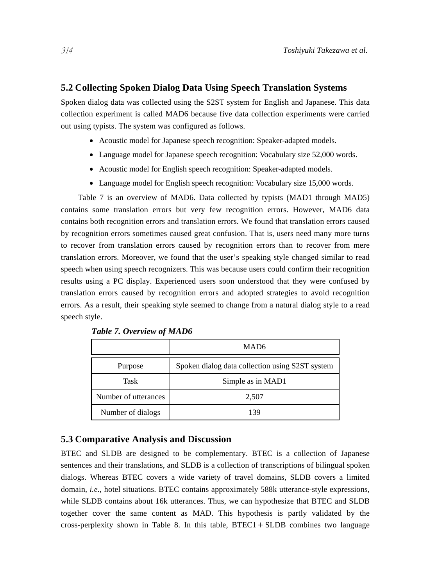### **5.2 Collecting Spoken Dialog Data Using Speech Translation Systems**

Spoken dialog data was collected using the S2ST system for English and Japanese. This data collection experiment is called MAD6 because five data collection experiments were carried out using typists. The system was configured as follows.

- Acoustic model for Japanese speech recognition: Speaker-adapted models.
- Language model for Japanese speech recognition: Vocabulary size 52,000 words.
- Acoustic model for English speech recognition: Speaker-adapted models.
- Language model for English speech recognition: Vocabulary size 15,000 words.

Table 7 is an overview of MAD6. Data collected by typists (MAD1 through MAD5) contains some translation errors but very few recognition errors. However, MAD6 data contains both recognition errors and translation errors. We found that translation errors caused by recognition errors sometimes caused great confusion. That is, users need many more turns to recover from translation errors caused by recognition errors than to recover from mere translation errors. Moreover, we found that the user's speaking style changed similar to read speech when using speech recognizers. This was because users could confirm their recognition results using a PC display. Experienced users soon understood that they were confused by translation errors caused by recognition errors and adopted strategies to avoid recognition errors. As a result, their speaking style seemed to change from a natural dialog style to a read speech style.

|                      | MAD <sub>6</sub>                                |
|----------------------|-------------------------------------------------|
| Purpose              | Spoken dialog data collection using S2ST system |
| <b>Task</b>          | Simple as in MAD1                               |
| Number of utterances | 2,507                                           |
| Number of dialogs    | 139                                             |

*Table 7. Overview of MAD6*

#### **5.3 Comparative Analysis and Discussion**

BTEC and SLDB are designed to be complementary. BTEC is a collection of Japanese sentences and their translations, and SLDB is a collection of transcriptions of bilingual spoken dialogs. Whereas BTEC covers a wide variety of travel domains, SLDB covers a limited domain, *i.e.*, hotel situations. BTEC contains approximately 588k utterance-style expressions, while SLDB contains about 16k utterances. Thus, we can hypothesize that BTEC and SLDB together cover the same content as MAD. This hypothesis is partly validated by the cross-perplexity shown in Table 8. In this table,  $BTEC1 + SLDB$  combines two language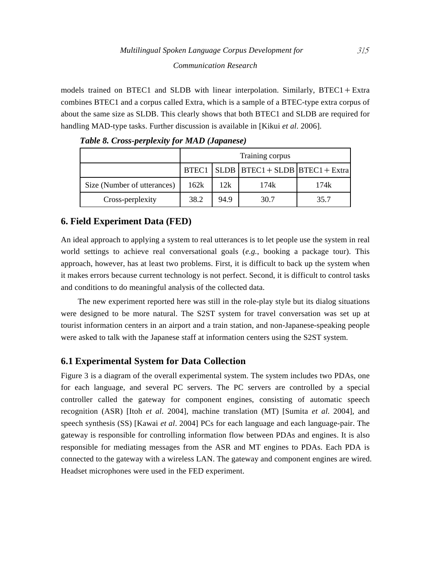models trained on BTEC1 and SLDB with linear interpolation. Similarly, BTEC1 + Extra combines BTEC1 and a corpus called Extra, which is a sample of a BTEC-type extra corpus of about the same size as SLDB. This clearly shows that both BTEC1 and SLDB are required for handling MAD-type tasks. Further discussion is available in [Kikui *et al*. 2006].

|                             | Training corpus |      |                                                   |      |  |
|-----------------------------|-----------------|------|---------------------------------------------------|------|--|
|                             |                 |      | $BTEC1$   SLDB   $BTEC1 + SLDB$   $BTEC1 + Extra$ |      |  |
| Size (Number of utterances) | 162k            | 12k  | 174k                                              | 174k |  |
| Cross-perplexity            | 38.2            | 94.9 | 30.7                                              | 35.7 |  |

*Table 8. Cross-perplexity for MAD (Japanese)*

### **6. Field Experiment Data (FED)**

An ideal approach to applying a system to real utterances is to let people use the system in real world settings to achieve real conversational goals (*e.g.*, booking a package tour). This approach, however, has at least two problems. First, it is difficult to back up the system when it makes errors because current technology is not perfect. Second, it is difficult to control tasks and conditions to do meaningful analysis of the collected data.

The new experiment reported here was still in the role-play style but its dialog situations were designed to be more natural. The S2ST system for travel conversation was set up at tourist information centers in an airport and a train station, and non-Japanese-speaking people were asked to talk with the Japanese staff at information centers using the S2ST system.

# **6.1 Experimental System for Data Collection**

Figure 3 is a diagram of the overall experimental system. The system includes two PDAs, one for each language, and several PC servers. The PC servers are controlled by a special controller called the gateway for component engines, consisting of automatic speech recognition (ASR) [Itoh *et al*. 2004], machine translation (MT) [Sumita *et al*. 2004], and speech synthesis (SS) [Kawai *et al*. 2004] PCs for each language and each language-pair. The gateway is responsible for controlling information flow between PDAs and engines. It is also responsible for mediating messages from the ASR and MT engines to PDAs. Each PDA is connected to the gateway with a wireless LAN. The gateway and component engines are wired. Headset microphones were used in the FED experiment.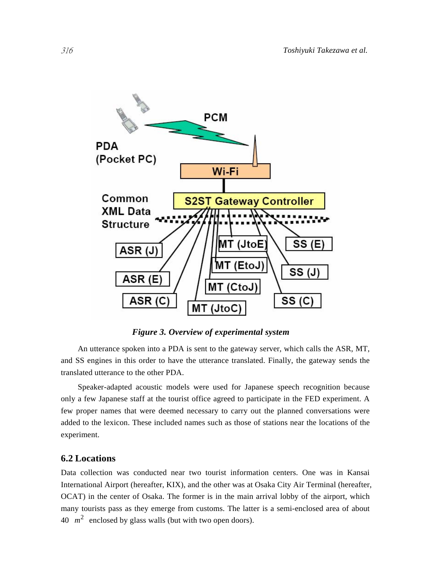

*Figure 3. Overview of experimental system*

An utterance spoken into a PDA is sent to the gateway server, which calls the ASR, MT, and SS engines in this order to have the utterance translated. Finally, the gateway sends the translated utterance to the other PDA.

Speaker-adapted acoustic models were used for Japanese speech recognition because only a few Japanese staff at the tourist office agreed to participate in the FED experiment. A few proper names that were deemed necessary to carry out the planned conversations were added to the lexicon. These included names such as those of stations near the locations of the experiment.

### **6.2 Locations**

Data collection was conducted near two tourist information centers. One was in Kansai International Airport (hereafter, KIX), and the other was at Osaka City Air Terminal (hereafter, OCAT) in the center of Osaka. The former is in the main arrival lobby of the airport, which many tourists pass as they emerge from customs. The latter is a semi-enclosed area of about 40  $m^2$  enclosed by glass walls (but with two open doors).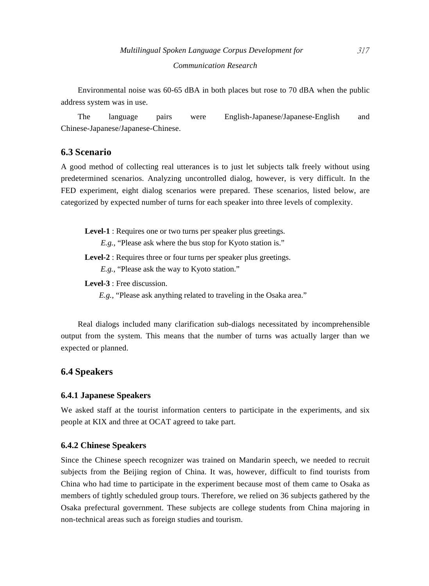Environmental noise was 60-65 dBA in both places but rose to 70 dBA when the public address system was in use.

The language pairs were English-Japanese/Japanese-English and Chinese-Japanese/Japanese-Chinese.

### **6.3 Scenario**

A good method of collecting real utterances is to just let subjects talk freely without using predetermined scenarios. Analyzing uncontrolled dialog, however, is very difficult. In the FED experiment, eight dialog scenarios were prepared. These scenarios, listed below, are categorized by expected number of turns for each speaker into three levels of complexity.

**Level-1** : Requires one or two turns per speaker plus greetings.

*E.g.*, "Please ask where the bus stop for Kyoto station is."

Level-2 : Requires three or four turns per speaker plus greetings.

*E.g.*, "Please ask the way to Kyoto station."

**Level-3** : Free discussion.

*E.g.*, "Please ask anything related to traveling in the Osaka area."

Real dialogs included many clarification sub-dialogs necessitated by incomprehensible output from the system. This means that the number of turns was actually larger than we expected or planned.

### **6.4 Speakers**

### **6.4.1 Japanese Speakers**

We asked staff at the tourist information centers to participate in the experiments, and six people at KIX and three at OCAT agreed to take part.

### **6.4.2 Chinese Speakers**

Since the Chinese speech recognizer was trained on Mandarin speech, we needed to recruit subjects from the Beijing region of China. It was, however, difficult to find tourists from China who had time to participate in the experiment because most of them came to Osaka as members of tightly scheduled group tours. Therefore, we relied on 36 subjects gathered by the Osaka prefectural government. These subjects are college students from China majoring in non-technical areas such as foreign studies and tourism.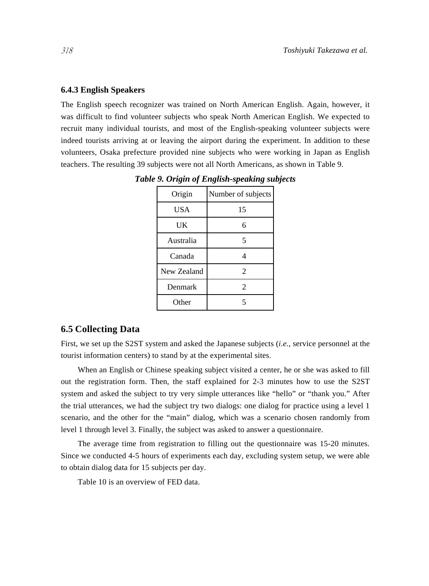#### **6.4.3 English Speakers**

The English speech recognizer was trained on North American English. Again, however, it was difficult to find volunteer subjects who speak North American English. We expected to recruit many individual tourists, and most of the English-speaking volunteer subjects were indeed tourists arriving at or leaving the airport during the experiment. In addition to these volunteers, Osaka prefecture provided nine subjects who were working in Japan as English teachers. The resulting 39 subjects were not all North Americans, as shown in Table 9.

| Origin      | Number of subjects |
|-------------|--------------------|
| <b>USA</b>  | 15                 |
| UK          | 6                  |
| Australia   | 5                  |
| Canada      | Δ                  |
| New Zealand | $\mathfrak{D}$     |
| Denmark     | 2                  |
| Other       |                    |

*Table 9. Origin of English-speaking subjects*

### **6.5 Collecting Data**

First, we set up the S2ST system and asked the Japanese subjects (*i.e.*, service personnel at the tourist information centers) to stand by at the experimental sites.

When an English or Chinese speaking subject visited a center, he or she was asked to fill out the registration form. Then, the staff explained for 2-3 minutes how to use the S2ST system and asked the subject to try very simple utterances like "hello" or "thank you." After the trial utterances, we had the subject try two dialogs: one dialog for practice using a level 1 scenario, and the other for the "main" dialog, which was a scenario chosen randomly from level 1 through level 3. Finally, the subject was asked to answer a questionnaire.

The average time from registration to filling out the questionnaire was 15-20 minutes. Since we conducted 4-5 hours of experiments each day, excluding system setup, we were able to obtain dialog data for 15 subjects per day.

Table 10 is an overview of FED data.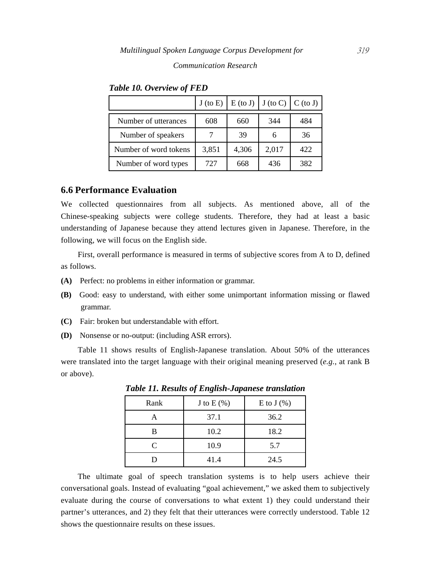|                       |       |       |       | $J (to E)   E (to J)   J (to C)   C (to J)  $ |
|-----------------------|-------|-------|-------|-----------------------------------------------|
| Number of utterances  | 608   | 660   | 344   | 484                                           |
| Number of speakers    |       | 39    | 6     | 36                                            |
| Number of word tokens | 3,851 | 4,306 | 2,017 | 422                                           |
| Number of word types  | 727   | 668   | 436   | 382                                           |

*Table 10. Overview of FED*

### **6.6 Performance Evaluation**

We collected questionnaires from all subjects. As mentioned above, all of the Chinese-speaking subjects were college students. Therefore, they had at least a basic understanding of Japanese because they attend lectures given in Japanese. Therefore, in the following, we will focus on the English side.

First, overall performance is measured in terms of subjective scores from A to D, defined as follows.

- **(A)** Perfect: no problems in either information or grammar.
- **(B)** Good: easy to understand, with either some unimportant information missing or flawed grammar.
- **(C)** Fair: broken but understandable with effort.
- **(D)** Nonsense or no-output: (including ASR errors).

Table 11 shows results of English-Japanese translation. About 50% of the utterances were translated into the target language with their original meaning preserved (*e.g.*, at rank B or above).

| Rank                        | J to $E(\%)$ | E to $J(\%)$ |
|-----------------------------|--------------|--------------|
|                             | 37.1         | 36.2         |
| в                           | 10.2         | 18.2         |
| $\mathcal{C}_{\mathcal{C}}$ | 10.9         | 5.7          |
|                             | 41.4         | 24.5         |

*Table 11. Results of English-Japanese translation*

The ultimate goal of speech translation systems is to help users achieve their conversational goals. Instead of evaluating "goal achievement," we asked them to subjectively evaluate during the course of conversations to what extent 1) they could understand their partner's utterances, and 2) they felt that their utterances were correctly understood. Table 12 shows the questionnaire results on these issues.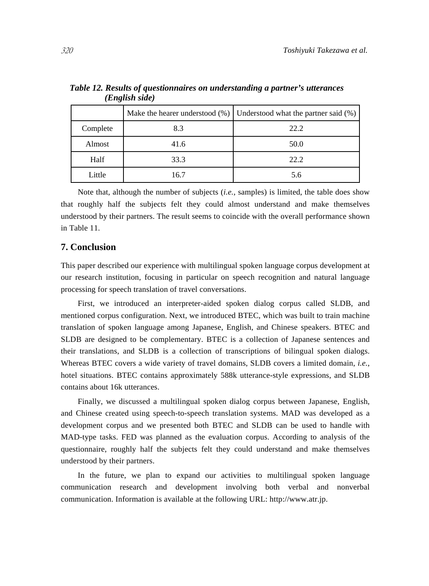|          |      | Make the hearer understood $(\%)$ Understood what the partner said $(\%)$ |
|----------|------|---------------------------------------------------------------------------|
| Complete | 8.3  | 22.2                                                                      |
| Almost   | 41.6 | 50.0                                                                      |
| Half     | 33.3 | 22.2                                                                      |
| Little   | 16.7 | 5.6                                                                       |

 *Table 12. Results of questionnaires on understanding a partner's utterances (English side)*

Note that, although the number of subjects (*i.e.*, samples) is limited, the table does show that roughly half the subjects felt they could almost understand and make themselves understood by their partners. The result seems to coincide with the overall performance shown in Table 11.

### **7. Conclusion**

This paper described our experience with multilingual spoken language corpus development at our research institution, focusing in particular on speech recognition and natural language processing for speech translation of travel conversations.

First, we introduced an interpreter-aided spoken dialog corpus called SLDB, and mentioned corpus configuration. Next, we introduced BTEC, which was built to train machine translation of spoken language among Japanese, English, and Chinese speakers. BTEC and SLDB are designed to be complementary. BTEC is a collection of Japanese sentences and their translations, and SLDB is a collection of transcriptions of bilingual spoken dialogs. Whereas BTEC covers a wide variety of travel domains, SLDB covers a limited domain, *i.e.*, hotel situations. BTEC contains approximately 588k utterance-style expressions, and SLDB contains about 16k utterances.

Finally, we discussed a multilingual spoken dialog corpus between Japanese, English, and Chinese created using speech-to-speech translation systems. MAD was developed as a development corpus and we presented both BTEC and SLDB can be used to handle with MAD-type tasks. FED was planned as the evaluation corpus. According to analysis of the questionnaire, roughly half the subjects felt they could understand and make themselves understood by their partners.

In the future, we plan to expand our activities to multilingual spoken language communication research and development involving both verbal and nonverbal communication. Information is available at the following URL: http://www.atr.jp.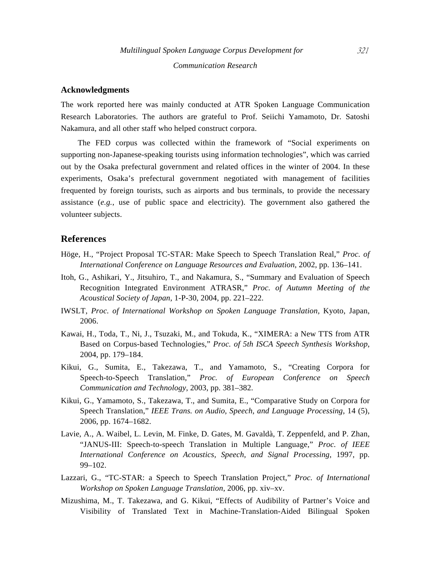#### **Acknowledgments**

The work reported here was mainly conducted at ATR Spoken Language Communication Research Laboratories. The authors are grateful to Prof. Seiichi Yamamoto, Dr. Satoshi Nakamura, and all other staff who helped construct corpora.

The FED corpus was collected within the framework of "Social experiments on supporting non-Japanese-speaking tourists using information technologies", which was carried out by the Osaka prefectural government and related offices in the winter of 2004. In these experiments, Osaka's prefectural government negotiated with management of facilities frequented by foreign tourists, such as airports and bus terminals, to provide the necessary assistance (*e.g.*, use of public space and electricity). The government also gathered the volunteer subjects.

### **References**

- Höge, H., "Project Proposal TC-STAR: Make Speech to Speech Translation Real," *Proc. of International Conference on Language Resources and Evaluation*, 2002, pp. 136–141.
- Itoh, G., Ashikari, Y., Jitsuhiro, T., and Nakamura, S., "Summary and Evaluation of Speech Recognition Integrated Environment ATRASR," *Proc. of Autumn Meeting of the Acoustical Society of Japan*, 1-P-30, 2004, pp. 221–222.
- IWSLT, *Proc. of International Workshop on Spoken Language Translation,* Kyoto, Japan, 2006.
- Kawai, H., Toda, T., Ni, J., Tsuzaki, M., and Tokuda, K., "XIMERA: a New TTS from ATR Based on Corpus-based Technologies," *Proc. of 5th ISCA Speech Synthesis Workshop*, 2004, pp. 179–184.
- Kikui, G., Sumita, E., Takezawa, T., and Yamamoto, S., "Creating Corpora for Speech-to-Speech Translation," *Proc. of European Conference on Speech Communication and Technology*, 2003, pp. 381–382.
- Kikui, G., Yamamoto, S., Takezawa, T., and Sumita, E., "Comparative Study on Corpora for Speech Translation," *IEEE Trans. on Audio, Speech, and Language Processing*, 14 (5), 2006, pp. 1674–1682.
- Lavie, A., A. Waibel, L. Levin, M. Finke, D. Gates, M. Gavaldà, T. Zeppenfeld, and P. Zhan, "JANUS-III: Speech-to-speech Translation in Multiple Language," *Proc. of IEEE International Conference on Acoustics, Speech, and Signal Processing*, 1997, pp. 99–102.
- Lazzari, G., "TC-STAR: a Speech to Speech Translation Project," *Proc. of International Workshop on Spoken Language Translation*, 2006, pp. xiv–xv.
- Mizushima, M., T. Takezawa, and G. Kikui, "Effects of Audibility of Partner's Voice and Visibility of Translated Text in Machine-Translation-Aided Bilingual Spoken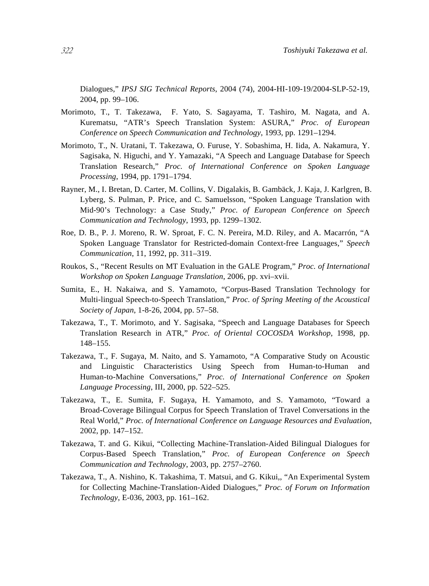Dialogues," *IPSJ SIG Technical Reports*, 2004 (74), 2004-HI-109-19/2004-SLP-52-19, 2004, pp. 99–106.

- Morimoto, T., T. Takezawa, F. Yato, S. Sagayama, T. Tashiro, M. Nagata, and A. Kurematsu, "ATR's Speech Translation System: ASURA," *Proc. of European Conference on Speech Communication and Technology*, 1993, pp. 1291–1294.
- Morimoto, T., N. Uratani, T. Takezawa, O. Furuse, Y. Sobashima, H. Iida, A. Nakamura, Y. Sagisaka, N. Higuchi, and Y. Yamazaki, "A Speech and Language Database for Speech Translation Research," *Proc. of International Conference on Spoken Language Processing*, 1994, pp. 1791–1794.
- Rayner, M., I. Bretan, D. Carter, M. Collins, V. Digalakis, B. Gambäck, J. Kaja, J. Karlgren, B. Lyberg, S. Pulman, P. Price, and C. Samuelsson, "Spoken Language Translation with Mid-90's Technology: a Case Study," *Proc. of European Conference on Speech Communication and Technology*, 1993, pp. 1299–1302.
- Roe, D. B., P. J. Moreno, R. W. Sproat, F. C. N. Pereira, M.D. Riley, and A. Macarrón, "A Spoken Language Translator for Restricted-domain Context-free Languages," *Speech Communication*, 11, 1992, pp. 311–319.
- Roukos, S., "Recent Results on MT Evaluation in the GALE Program," *Proc. of International Workshop on Spoken Language Translation*, 2006, pp. xvi–xvii.
- Sumita, E., H. Nakaiwa, and S. Yamamoto, "Corpus-Based Translation Technology for Multi-lingual Speech-to-Speech Translation," *Proc. of Spring Meeting of the Acoustical Society of Japan*, 1-8-26, 2004, pp. 57–58.
- Takezawa, T., T. Morimoto, and Y. Sagisaka, "Speech and Language Databases for Speech Translation Research in ATR," *Proc. of Oriental COCOSDA Workshop*, 1998, pp. 148–155.
- Takezawa, T., F. Sugaya, M. Naito, and S. Yamamoto, "A Comparative Study on Acoustic and Linguistic Characteristics Using Speech from Human-to-Human and Human-to-Machine Conversations," *Proc. of International Conference on Spoken Language Processing*, III, 2000, pp. 522–525.
- Takezawa, T., E. Sumita, F. Sugaya, H. Yamamoto, and S. Yamamoto, "Toward a Broad-Coverage Bilingual Corpus for Speech Translation of Travel Conversations in the Real World," *Proc. of International Conference on Language Resources and Evaluation*, 2002, pp. 147–152.
- Takezawa, T. and G. Kikui, "Collecting Machine-Translation-Aided Bilingual Dialogues for Corpus-Based Speech Translation," *Proc. of European Conference on Speech Communication and Technology*, 2003, pp. 2757–2760.
- Takezawa, T., A. Nishino, K. Takashima, T. Matsui, and G. Kikui,, "An Experimental System for Collecting Machine-Translation-Aided Dialogues," *Proc. of Forum on Information Technology*, E-036, 2003, pp. 161–162.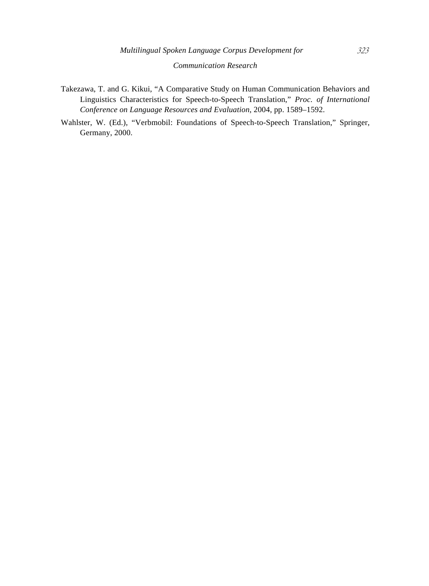- Takezawa, T. and G. Kikui, "A Comparative Study on Human Communication Behaviors and Linguistics Characteristics for Speech-to-Speech Translation," *Proc. of International Conference on Language Resources and Evaluation*, 2004, pp. 1589–1592.
- Wahlster, W. (Ed.), "Verbmobil: Foundations of Speech-to-Speech Translation," Springer, Germany, 2000.